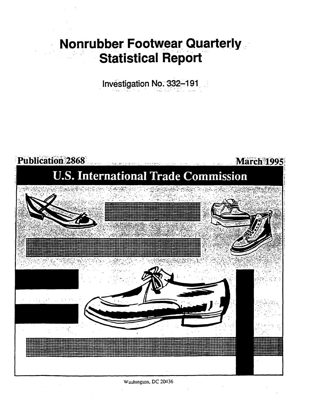# **Nonrubber Footwear Quarterly Statistical Report**

Investigation No. 332-191



Washington, DC 20436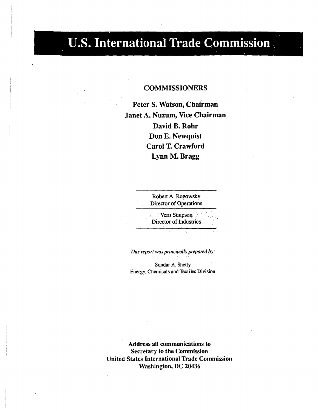## **U.S. International Trade Commission**

### COMMISSIONERS

·Peter S. Watson, Chairman Janet A. Nuzum, Vice Chairman David B. Rohr Don E. Newquist Carol T. Crawford Lynn M. Bragg

> Robert A. Rogowsky **Director of Operations**

.. -. Vern Simpson<·. :.':.·: Director of Industries

*This report was principally prepared by:* 

Sundar A. Shetty Energy, Chemicals and Textiles Division

Address all communications to Secretary to the Commission United States International Trade Commission Washington, DC 20436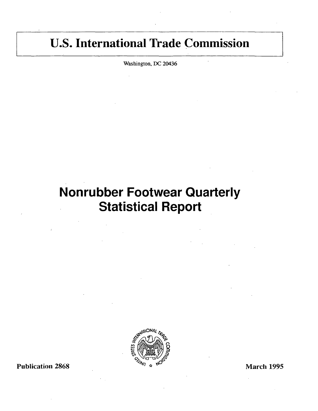## U.S. International Trade Commission

Washington, DC 20436

# Nonrubber Footwear Quarterly Statistical Report

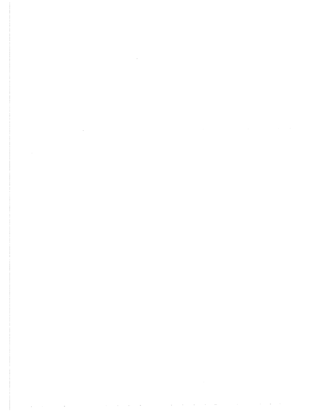$\label{eq:2.1} \frac{1}{\sqrt{2}}\int_{\mathbb{R}^3}\frac{1}{\sqrt{2}}\left(\frac{1}{\sqrt{2}}\right)^2\frac{1}{\sqrt{2}}\left(\frac{1}{\sqrt{2}}\right)^2\frac{1}{\sqrt{2}}\left(\frac{1}{\sqrt{2}}\right)^2\frac{1}{\sqrt{2}}\left(\frac{1}{\sqrt{2}}\right)^2.$  $\label{eq:2.1} \frac{1}{\sqrt{2}}\int_{\mathbb{R}^3}\frac{1}{\sqrt{2}}\left(\frac{1}{\sqrt{2}}\right)^2\frac{1}{\sqrt{2}}\left(\frac{1}{\sqrt{2}}\right)^2\frac{1}{\sqrt{2}}\left(\frac{1}{\sqrt{2}}\right)^2\frac{1}{\sqrt{2}}\left(\frac{1}{\sqrt{2}}\right)^2.$ 

 $\mathcal{L}(\mathcal{L}(\mathcal{L}))$  is a subset of the set of the set of the set of the set of the set of the set of the set of the set of

 $\label{eq:2} \mathcal{L}(\mathbf{r}) = \mathcal{L}(\mathbf{r}) \mathcal{L}(\mathbf{r}) = \mathcal{L}(\mathbf{r}) \mathcal{L}(\mathbf{r})$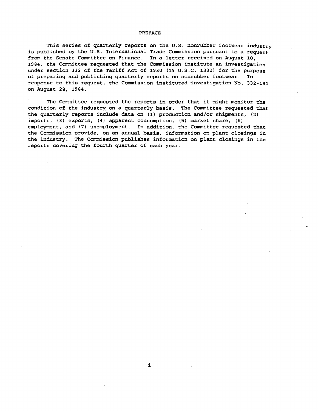#### PREFACE

This series of quarterly reports on the U.S. nonrubber footwear industry is published by the U.S. International Trade Commission pursuant to a request from the Senate Committee on Finance. In a letter received on August 10, 1984, the Committee requested that the Commission institute an investigation under section 332 of the Tariff Act of 1930 (19 U.S.C. 1332) for the purpose of preparing and publishing quarterly reports on nonrubber footwear. In response to this request, the Commission instituted investigation No. 332-191 on August 28, 1984.

The Committee requested the reports in order that it might monitor the condition of the industry on a quarterly basis. The Committee requested that the quarterly reports include data on (1) production and/or shipments, (2) imports, (3) exports, (4) apparent consumption, (5) market share, (6) employment, and (7) unemployment. In addition, the Committee requested that the Commission provide, on an annual basis, information on plant closings in the industry. The Commission publishes information on plant closings in the reports covering the fourth quarter of each year.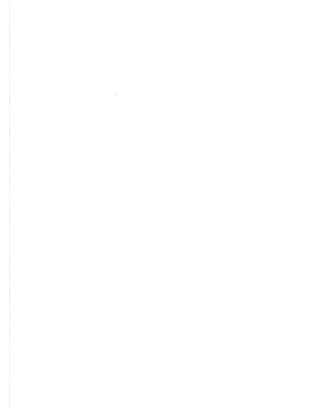# $\label{eq:2.1} \frac{1}{\sqrt{2}}\int_{\mathbb{R}^3}\frac{1}{\sqrt{2}}\left(\frac{1}{\sqrt{2}}\right)^2\frac{1}{\sqrt{2}}\left(\frac{1}{\sqrt{2}}\right)^2\frac{1}{\sqrt{2}}\left(\frac{1}{\sqrt{2}}\right)^2\frac{1}{\sqrt{2}}\left(\frac{1}{\sqrt{2}}\right)^2\frac{1}{\sqrt{2}}\left(\frac{1}{\sqrt{2}}\right)^2\frac{1}{\sqrt{2}}\left(\frac{1}{\sqrt{2}}\right)^2\frac{1}{\sqrt{2}}\left(\frac{1}{\sqrt{2}}\right)^2\frac{1}{\sqrt{$

 $\label{eq:2.1} \frac{1}{\sqrt{2}}\left(\frac{1}{\sqrt{2}}\right)^{2} \left(\frac{1}{\sqrt{2}}\right)^{2} \left(\frac{1}{\sqrt{2}}\right)^{2} \left(\frac{1}{\sqrt{2}}\right)^{2} \left(\frac{1}{\sqrt{2}}\right)^{2} \left(\frac{1}{\sqrt{2}}\right)^{2} \left(\frac{1}{\sqrt{2}}\right)^{2} \left(\frac{1}{\sqrt{2}}\right)^{2} \left(\frac{1}{\sqrt{2}}\right)^{2} \left(\frac{1}{\sqrt{2}}\right)^{2} \left(\frac{1}{\sqrt{2}}\right)^{2} \left(\$ 

 $\label{eq:2.1} \mathcal{L}(\mathcal{L}^{\text{max}}_{\mathcal{L}}(\mathcal{L}^{\text{max}}_{\mathcal{L}})) \leq \mathcal{L}(\mathcal{L}^{\text{max}}_{\mathcal{L}}(\mathcal{L}^{\text{max}}_{\mathcal{L}}))$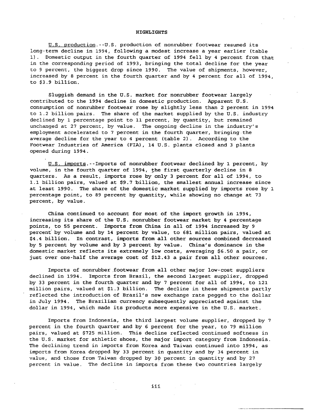#### HIGHLIGHTS

U.S. production.--U.S. production of nonrubber footwear resumed its long-term decline in 1994, following a modest increase a year earlier (table 1). Domestic output in the fourth quarter of 1994 fell by 4 percent from that in the corresponding period of 1993, bringing the total decline for the year to 9 percent, the biggest drop since 1990. The value of shipments, however, increased by 8 percent in the fourth quarter and by 4 percent for all of 1994, to \$3.9 billion.

Sluggish demand in the U.S. market for nonrubber footwear largely contributed to the 1994 decline in domestic production. Apparent U.S. consumption of nonrubber footwear rose by slightly less than 2 percent in 1994 to 1.2 billion pairs. The share of the market supplied by the U.S. industry declined by 1 percentage point to 11 percent, by quantity, but remained unchanged at 27 percent, by value. The ongoing decline in the industry's employment accelerated to 7 percent in the fourth quarter, bringing the average decline for the year to 4 percent (table 2) . According to the Footwear Industries of America (FIA), 14 U.S. plants closed and 3 plants opened during 1994.

U.S. imports.--Imports of nonrubber footwear declined by 1 percent, by volume, in the fourth quarter of 1994, the first quarterly decline in 8 quarters. As a result, imports rose by only 3 percent for all of 1994, to 1.1 billion pairs, valued at \$9.7 billion, the smallest annual increase since at least 1990. The share of the domestic market supplied by imports rose by 1 percentage point, to 89 percent by quantity, while showing no change at 73 percent, by value.

China continued to account for most of the import growth in 1994, increasing its share of the U.S. nonrubber footwear market by 4 percentage points, to 55 percent. Imports from China in all of 1994 increased by 9 percent; by volume and by 14 percent by value, to 681 million pairs, valued at \$4.4 billion. In contrast, imports from all other sources combined decreased by 5 percent by volume and by 3 percent by value. China's dominance in the domestic market reflects its extremely low costs, averaging \$6.50 a pair, or just over one-half the average cost of \$12.43 a pair from all other sources.

Imports of nonrubber footwear from all other major low-cost suppliers declined in 1994. Imports from Brazil, the second largest supplier, dropped by 33 percent in the fourth quarter and by 7 percent for all of 1994, to 121 million pairs, valued at \$1.3 billion. The decline in these shipments partly reflected the introduction of Brazil's new exchange rate pegged to the dollar in July 1994. The Brazilian currency subsequently appreciated against the dollar in 1994, which made its products more expensive in the U.S. market.

Imports from Indonesia, the third largest volume supplier, dropped by 7 percent in the fourth quarter and by 6 percent for the year, to 79 million pairs, valued at \$725 million. This decline reflected continued softness in the U.S. market for athletic shoes, the major import category from Indonesia. The declining trend in imports from Korea and Taiwan continued into 1994, as imports from Korea dropped by 33 percent in quantity and by 34 percent in value, and those from Taiwan dropped by 30 percent in quantity and by 27 percent in value. The decline in imports from these two countries largely

iii

·-----------------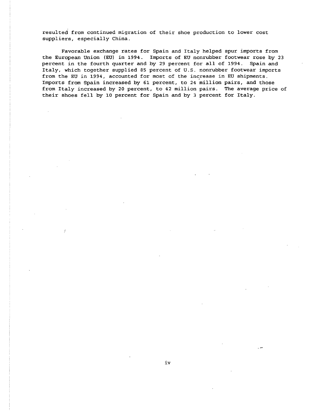resulted from continued migration of their shoe production to lower cost suppliers, especially China.

Favorable exchange rates for Spain and Italy helped spur imports from the European Union (EU) in 1994. Imports of EU nonrubber footwear rose by 23 percent in the fourth quarter and by 29 percent for all of 1994. Spain and Italy, which together supplied 85 percent of U.S. nonrubber footwear imports from the EU in 1994, accounted for most of the increase in EU shipments. Imports from Spain increased by 61 percent, to 24 million pairs, and those from Italy increased by 20 percent, to 42 million pairs. The average price of their shoes fell by 10 percent for Spain and by 3 percent for Italy.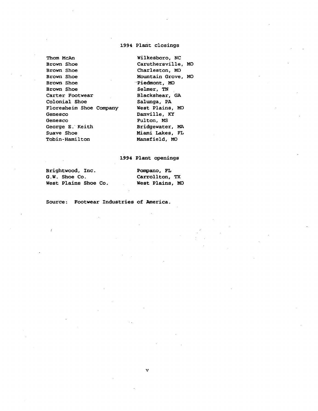1994 Plant closings

Thom McAn Brown Shoe Brown Shoe Brown Shoe Brown Shoe Brown Shoe Carter Footwear Colonial Shoe Floresheim Shoe Company Genesco Genesco George E. Keith Suave Shoe Tobin-Hamilton

Wilkesboro, NC Caruthersville, MO Charleston, MO Mountain Grove, MO ·Piedmont, MO Selmer, TN Blackshear, GA Salunga, PA West Plains, MO Danville, KY Fulton, MS Bridgewater, MA Miami Lakes, FL Mansfield, MO

1994 Plant openings

| Brightwood, Inc.     | Pompano, FL     |
|----------------------|-----------------|
| G.W. Shoe Co.        | Carrollton, TX  |
| West Plains Shoe Co. | West Plains, MO |

Source: Footwear Industries of America.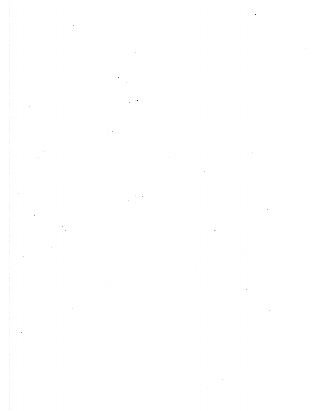$\label{eq:2.1} \frac{1}{\sqrt{2}}\int_{\mathbb{R}^3}\frac{1}{\sqrt{2}}\left(\frac{1}{\sqrt{2}}\right)^2\left(\frac{1}{\sqrt{2}}\right)^2\left(\frac{1}{\sqrt{2}}\right)^2\left(\frac{1}{\sqrt{2}}\right)^2\left(\frac{1}{\sqrt{2}}\right)^2\left(\frac{1}{\sqrt{2}}\right)^2\left(\frac{1}{\sqrt{2}}\right)^2\left(\frac{1}{\sqrt{2}}\right)^2\left(\frac{1}{\sqrt{2}}\right)^2\left(\frac{1}{\sqrt{2}}\right)^2\left(\frac{1}{\sqrt{2}}\right)^2\left(\frac$  $\label{eq:2.1} \frac{1}{\sqrt{2}}\sum_{i=1}^n\frac{1}{\sqrt{2}}\sum_{i=1}^n\frac{1}{\sqrt{2}}\sum_{i=1}^n\frac{1}{\sqrt{2}}\sum_{i=1}^n\frac{1}{\sqrt{2}}\sum_{i=1}^n\frac{1}{\sqrt{2}}\sum_{i=1}^n\frac{1}{\sqrt{2}}\sum_{i=1}^n\frac{1}{\sqrt{2}}\sum_{i=1}^n\frac{1}{\sqrt{2}}\sum_{i=1}^n\frac{1}{\sqrt{2}}\sum_{i=1}^n\frac{1}{\sqrt{2}}\sum_{i=1}^n\frac$  $\label{eq:2.1} \mathcal{L}_{\text{max}} = \mathcal{L}_{\text{max}} = \mathcal{L}_{\text{max}}$ 

 $\label{eq:2.1} \frac{1}{2}\sum_{i=1}^n\frac{1}{2}\sum_{i=1}^n\frac{1}{2}\sum_{i=1}^n\frac{1}{2}\sum_{i=1}^n\frac{1}{2}\sum_{i=1}^n\frac{1}{2}\sum_{i=1}^n\frac{1}{2}\sum_{i=1}^n\frac{1}{2}\sum_{i=1}^n\frac{1}{2}\sum_{i=1}^n\frac{1}{2}\sum_{i=1}^n\frac{1}{2}\sum_{i=1}^n\frac{1}{2}\sum_{i=1}^n\frac{1}{2}\sum_{i=1}^n\frac{1}{2}\sum_{i=1}^n\$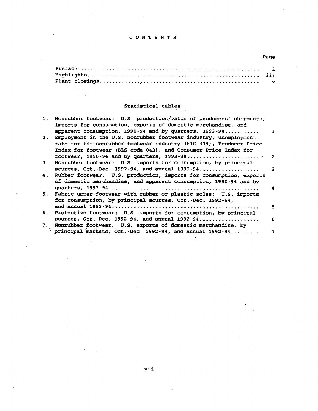#### C 0 N T E N T S

## Preface.......................................................... i Highlights. . . . . . . . . . . . . . . . . . . . . . . . . . . . . . . . . . . . . . . . . . . . . . . . . . . . . . . iii Plant closings ............. \_. . . . . . . . . . . . . . . . . . . . . . . . . . . . . . . . . . . . . . v

Page

## Statistical tables

 $\ddot{\phantom{0}}$ 

| $\mathbf{1}$ . | Nonrubber footwear: U.S. production/value of producers' shipments,<br>imports for consumption, exports of domestic merchandise, and<br>apparent consumption, 1990-94 and by quarters, 1993-94             | $\mathbf{1}$ |
|----------------|-----------------------------------------------------------------------------------------------------------------------------------------------------------------------------------------------------------|--------------|
| 2 <sub>1</sub> | Employment in the U.S. nonrubber footwear industry, unemployment<br>rate for the nonrubber footwear industry (SIC 314), Producer Price<br>Index for footwear (BLS code 043), and Consumer Price Index for |              |
|                |                                                                                                                                                                                                           |              |
| 3.             | Nonrubber footwear: U.S. imports for consumption, by principal                                                                                                                                            |              |
|                | sources, Oct.-Dec. 1992-94, and annual 1992-94                                                                                                                                                            | 3            |
| 4.             | Rubber footwear: U.S. production, imports for consumption, exports<br>of domestic merchandise, and apparent consumption, 1990-94 and by                                                                   | 4            |
|                | 5. Fabric upper footwear with rubber or plastic soles: U.S. imports<br>for consumption, by principal sources, Oct.-Dec. 1992-94,                                                                          |              |
|                |                                                                                                                                                                                                           | 5            |
| 6.             | Protective footwear: U.S. imports for consumption, by principal                                                                                                                                           |              |
| 7.             | sources, Oct.-Dec. 1992-94, and annual 1992-94<br>Nonrubber footwear: U.S. exports of domestic merchandise, by                                                                                            | 6            |
|                | $\frac{1}{2}$ principal markets, Oct.-Dec. 1992-94, and annual 1992-94                                                                                                                                    | 7            |
|                |                                                                                                                                                                                                           |              |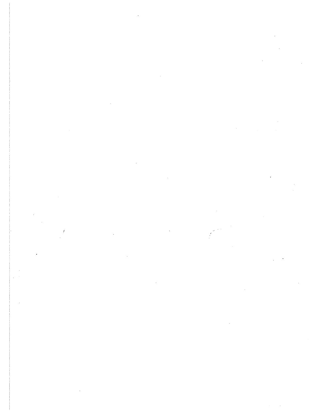$\label{eq:2.1} \mathcal{L}(\mathcal{L}(\mathcal{L})) = \mathcal{L}(\mathcal{L}(\mathcal{L})) = \mathcal{L}(\mathcal{L}(\mathcal{L})) = \mathcal{L}(\mathcal{L}(\mathcal{L}))$  $\label{eq:2.1} \mathcal{L}(\mathcal{L}^{\mathcal{L}}_{\mathcal{L}}(\mathcal{L}^{\mathcal{L}}_{\mathcal{L}}))\leq \mathcal{L}(\mathcal{L}^{\mathcal{L}}_{\mathcal{L}}(\mathcal{L}^{\mathcal{L}}_{\mathcal{L}}))$ 

 $\label{eq:2.1} \frac{1}{\sqrt{2}}\int_{\mathbb{R}^3} \frac{d\mathbf{x}}{|\mathbf{x}|^2} \, d\mathbf{x} \, d\mathbf{x} \, d\mathbf{x} \, d\mathbf{x} \, d\mathbf{x} \, d\mathbf{x} \, d\mathbf{x} \, d\mathbf{x} \, d\mathbf{x} \, d\mathbf{x} \, d\mathbf{x} \, d\mathbf{x} \, d\mathbf{x} \, d\mathbf{x} \, d\mathbf{x} \, d\mathbf{x} \, d\mathbf{x} \, d\mathbf{x} \, d\mathbf{x} \, d\mathbf{x} \, d\mathbf{x} \, d$ 

 $\label{eq:2.1} \frac{1}{\sqrt{2}}\int_{\mathbb{R}^3}\frac{1}{\sqrt{2}}\left(\frac{1}{\sqrt{2}}\right)^2\frac{1}{\sqrt{2}}\left(\frac{1}{\sqrt{2}}\right)^2\frac{1}{\sqrt{2}}\left(\frac{1}{\sqrt{2}}\right)^2\frac{1}{\sqrt{2}}\left(\frac{1}{\sqrt{2}}\right)^2\frac{1}{\sqrt{2}}\left(\frac{1}{\sqrt{2}}\right)^2\frac{1}{\sqrt{2}}\frac{1}{\sqrt{2}}\frac{1}{\sqrt{2}}\frac{1}{\sqrt{2}}\frac{1}{\sqrt{2}}\frac{1}{\sqrt{2}}$ 

 $\mathcal{L}(\mathcal{L}^{\mathcal{L}})$  and  $\mathcal{L}(\mathcal{L}^{\mathcal{L}})$  and  $\mathcal{L}(\mathcal{L}^{\mathcal{L}})$ 

 $\mathcal{A}^{\mathcal{A}}_{\mathcal{A}}$  and  $\mathcal{A}^{\mathcal{A}}_{\mathcal{A}}$ 

 $\label{eq:2.1} \mathcal{L}_{\mathcal{A}}(x) = \mathcal{L}_{\mathcal{A}}(x) \mathcal{L}_{\mathcal{A}}(x) \mathcal{L}_{\mathcal{A}}(x)$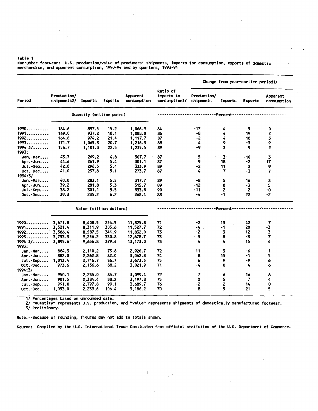Nonrubber footwear: U.S. production/value of producers' shipments, imports for consumption, exports of domestic merchandise, and apparent cons~tion, 1990-94 and by quarters, 1993-94

| Period               |                            | Imports                  |                |                         |                                         | Change from year-earlier period1/ |                         |                      |                         |
|----------------------|----------------------------|--------------------------|----------------|-------------------------|-----------------------------------------|-----------------------------------|-------------------------|----------------------|-------------------------|
|                      | Production/<br>shipments2/ |                          | <b>Exports</b> | Apparent<br>consumption | Ratio of<br>imports to<br>consumption1/ | Production/<br>shipments          | Imports                 | <b>Exports</b>       | Apparent<br>consumption |
|                      |                            | Quantity (million pairs) |                |                         |                                         |                                   | Percent-                |                      |                         |
| 1990<br>1991         | 184.6<br>169.0             | 897.5<br>937.2           | 15.2<br>18.1   | 1,066.9<br>1,088.0      | 84<br>86                                | -17<br>-8                         | 4<br>4                  | 5<br>19              | 0<br>2                  |
| 1992<br>1993.<br>.   | 164.8<br>171.7             | 974.2<br>1,065.3         | 21.4<br>20.7   | 1,117.7<br>1,216.3      | 87<br>88                                | $-2$<br>4                         | 4<br>9                  | 18<br>$-3$           | 3<br>9                  |
| $1994$ $3/$<br>1993: | 156.7                      | 1,101.3                  | 22.5           | 1,235.5                 | 89                                      | $-9$                              | $\overline{\mathbf{z}}$ | 9                    | 2                       |
| Jan.-Mar             | 43.3                       | $-269.2$                 | 4.8            | 307.7                   | 87                                      | 5                                 | 3 <sub>1</sub>          | -10                  | 3                       |
| Apr.-Jun             | 44.6                       | 261.9                    | 5.4            | 301.1                   | 87                                      | 9                                 | 18                      | $-2$                 | 17                      |
| Jul.-Sep             | 42.8                       | 296.5                    | 5.4            | 333.9                   | 89                                      | -2                                | 11                      | 2                    | 9                       |
| Oct.-Dec<br>1994:3/  | 41.0                       | 237.8                    | 5.1            | 273.7                   | 87                                      | 4                                 | 7                       | $-3$                 | $\overline{7}$          |
| Jan.-Mar             | 40.0                       | 283.1                    | 5.5            | 317.7                   | 89                                      | -8                                | 5                       | 16                   | 3                       |
| Apr.-Jun             | 39.2                       | 281.8                    | 5.3            | 315.7                   | 89                                      | $-12$                             | 8                       | $-3$                 | 5                       |
| Jul.-Sep<br>Oct.-Dec | 38.2<br>39.3               | 301.1<br>235.2           | 5.5<br>6.2     | 333.8<br>268.4          | 90<br>88                                | -11<br>-4                         | 2<br>$-1$               | $\overline{z}$<br>22 | -0<br>$-2$              |
|                      |                            | Value (million dollars)  |                |                         |                                         |                                   | Percent-                |                      |                         |
| 1990                 | 3,671.8                    | 8,408.5                  | 254.5          | 11,825.8                | 71                                      | -2                                | 13                      | 42                   | 7                       |
| $1991$               | 3,521.4                    | 8,311.9                  | 305.6          | 11,527.7                | 72                                      | $\frac{-4}{2}$<br>$\sim$ $\sim$   | $-1$                    | 20                   | -3                      |
| $1992 \ldots \ldots$ | 3,586.4                    | 8,587.5                  | 341.9          | 11,832.0                | 73                                      |                                   | $\overline{\mathbf{3}}$ | 12                   | $\overline{\mathbf{3}}$ |
| 1993.<br>.           | 3,753.3                    | 9,256.2                  | 330.8          | 12,678.7                | 73                                      | $\overline{\mathbf{5}}$           | 8                       | -3                   | $\overline{\mathbf{z}}$ |
| $1994$ $3/$<br>1993: | 3,895.6                    | 9,656.8                  | 379.4          | 13,173.0                | 73                                      | 4                                 | 4                       | 15                   | 4                       |
| Jan.-Mar             | 884.3                      | 2,110.2                  | 73.8           | 2,920.7                 | 72                                      | 11                                | 3                       | -6                   | -1                      |
| Apr.-Jun             | 882.0                      | 2,262.8                  | 82.0           | 3,062.8                 | 74                                      | 8                                 | 15                      | -1                   | 5                       |
| Jul.-Sep             | 1,013.4                    | 2,746.7                  | 86.7           | 3,673.3                 | 75                                      | 6                                 | 9                       | -9                   | 6                       |
| $Oct.-Dec$           | 973.6                      | 2,136.6                  | 88.2           | 3,021.9                 | 71                                      | -4                                | 0                       | 4                    | 6                       |
| 1994:37              |                            |                          |                |                         |                                         |                                   |                         |                      |                         |
| Jan.-Mar             | 950.1                      | 2,235.0                  | 85.7           | 3,099.4                 | 72                                      | 7                                 | 6                       | 16                   | 6                       |
| Apr.-Jun             | 901.5                      | 2.384.4                  | 88.2           | 3,197.8                 | 75                                      | $\overline{2}$                    | 5                       | $\overline{7}$       | 4                       |
| $Jul.-Sep$           | 991.0                      | 2,797.8                  | 99.1           | 3,689.7                 | 76                                      | -2                                | 2                       | 14                   | 0                       |
| $Oct.-Dec$           | 1,053.0                    | 2,239.6                  | 106.4          | 3,186.2                 | 70                                      | 8                                 | 5                       | 21                   | 5                       |

1/ Percentages based on unrounded data.

2/ "Quantity" represents U.S. production, and "value" represents shipments of domestically manufactured footwear. 3/ Preliminary.

Note.--Because of rounding, figures may not add to totals shown.

Source: Compiled by the U.S. International Trade Commission from official statistics of the U.S. Department of Commerce.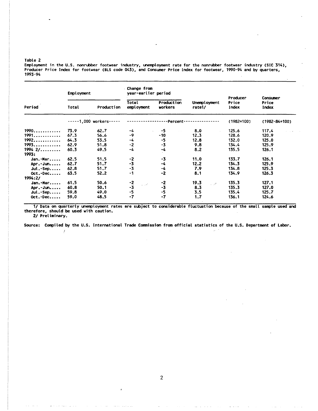Employment in the U.S. nonrubber footwear industry, unemployment rate for the nonrubber footwear industry (SIC 314), Producer Price Index for footwear CBLS code 043), end Consuner Price Index for footwear, 1990-94 and by quarters, 1993-94

|                    | <b>Employment</b> |                     | Change from<br>year-earlier period |                       |                        | Producer       | Consumer<br>Price<br>Index |  |
|--------------------|-------------------|---------------------|------------------------------------|-----------------------|------------------------|----------------|----------------------------|--|
| Period             | Total             | Production          | Total<br>employment                | Production<br>workers | Unemployment<br>rate1/ | Price<br>Index |                            |  |
|                    |                   | -----1,000 workers- |                                    | -Percent-             |                        | $(1982=100)$   | $(1982 - 84 = 100)$        |  |
| $1990$             | 73.9              | 62.7                | -4                                 | -5                    | 8.0                    | 125.6          | 117.4                      |  |
| 1991               | 67.3              | 56.6                | $-9$                               | $-10$                 | 12.3                   | 128.6          | 120.9                      |  |
| $1992$             | 64.3              | 53.5                | -4                                 | -5                    | 12.8                   | 132.0          | 125.0                      |  |
| 1993               | 62.9              | 51.8                | $-2$                               | -3                    | 9.8                    | 134.4          | 125.9                      |  |
| $1994 2/$          | 60.3              | 49.5                | -4                                 | -4                    | 8.2                    | 135.5          | 126.1                      |  |
| 1993:              |                   |                     |                                    |                       |                        |                |                            |  |
| Jan.-Mar           | 62.5              | 51.5                |                                    | -3                    | 11.0                   | 133.7          | 126.1                      |  |
| Apr.-Jun           | 62.7              | 51.7                |                                    | -4                    | 12.2                   | 134.3          | 125.9                      |  |
| Jul.-Sep           | 62.8              | 51.7                | $-2$<br>$-3$<br>$-3$               | -4                    | 7.9                    | 134.8          | 125.3                      |  |
| $Oct.-Dec. \ldots$ | 63.5              | 52.2                | $-1$                               | $-2$                  | 8.1                    | 134.9          | 126.3                      |  |
| 1994:2/            |                   |                     |                                    |                       |                        |                |                            |  |
| Jan.-Mar           | 61.5              | 50.6                | $\omega \sim \epsilon^2$           |                       | 19.3<br>$\sim 10^4$    | 135.3          | 127.1                      |  |
| Apr.-Jun           | 60.8              | 50.1                |                                    | $-2$<br>$-3$          | 8.3                    | 135.3          | 127.0                      |  |
| Jul.-Sep           | 59.8              | 49.0                | -2<br>-3<br>-5<br>-7               | $-5$                  | 3.5                    | 135.4          | 125.7                      |  |
| Oct.-Dec           | 59.0              | 48.5                |                                    | $-7$                  | 1.7                    | 136.1          | 124.6                      |  |

1/ Data on quarterly unemployment rates are subject to considerable fluctuation because of the small sample used and therefore, should be used with caution.

2/ Preliminary.

 $\overline{I}$ 

Source: Compiled by the U.S. International Trade Commission from official statistics of the U.S. Department of Labor.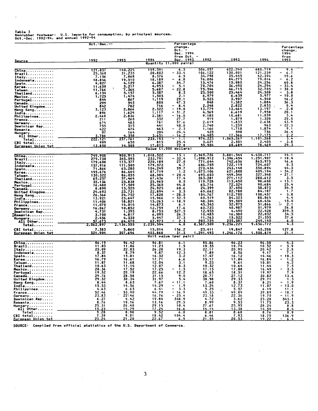| Table 3 |  | Oct.-Dec. 1992-94, and annual 1992-94 | Nonrubber footwear: U.S. imports for consumption, by principal sources, |  |
|---------|--|---------------------------------------|-------------------------------------------------------------------------|--|

 $\langle \sigma \rangle$ 

 $\omega_{\rm{max}}$ 

|                                  | $0ct.$ -Dec. $-$ -   |                       |                        | Percentage                           |                      |                     |                    |                                     |
|----------------------------------|----------------------|-----------------------|------------------------|--------------------------------------|----------------------|---------------------|--------------------|-------------------------------------|
|                                  |                      |                       |                        | change,<br>$0ct.$ -                  |                      |                     |                    | Percentage<br>change,               |
|                                  |                      |                       |                        | Dec. 1994                            |                      |                     |                    | 1994                                |
|                                  |                      | 1993                  | 1994                   | from Oct. -<br><u> Dec. 1993</u>     | <u> 1992 </u>        | <u> 1993 </u>       | 1994               | from<br><u> 1993</u>                |
| <u>Source</u>                    | 1992                 |                       | Quantity (1,000 pairs) |                                      |                      |                     |                    |                                     |
|                                  | 121,037              | 140,224               | 149,391                | 6.5                                  | 506,057              | 622,240             | 680,719            | 9.4                                 |
| China<br><u> Brazil</u>          | 25,360               | 31,235                | 20,802                 | $-33.4$                              | 106,122              | 130,001             | 121,239            | 6.7<br>٠                            |
| Italy                            | 7,156                | 7,868                 | 8,376                  | 6.5                                  | 34,798               | 35,445              | 42,394             | 19.6                                |
| Indonesia                        | 18,846               | 19,510                | 18,189                 | 6.8                                  | 76,806               | 84,275              | 79,016             | $\overline{\phantom{0}}$<br>6.2     |
| Spain                            | 4,027                | 4,129                 | 6,387<br>4,953         | 54.7<br>5.1                          | 15,476<br>70,704     | 15,080<br>36,490    | 24,256<br>24,294   | 60.8<br>-<br>33.4                   |
| <u> Korea</u>                    | 11,650<br>11,766     | 5,217<br>7,366        | 5,687                  | 22.8<br>$\overline{\phantom{0}}$     | 75.346               | 46,715              | 32,705             | ۰<br>30.0                           |
| Taiwan<br>Thailand               | 6,134                | 5,157                 | 5,587                  | 8.3                                  | 25,500               | 25,464              | 24,508             | $\overline{\phantom{a}}$<br>3.8     |
| Mexico                           | 1,725                | 1,474                 | 1,505                  | 2.1                                  | 6,979                | 6,639               | 5,977              | ۰<br>10.0                           |
| Portugal                         | 844                  | 867                   | 1,119                  | 29.1                                 | 3,523<br>848         | 3,907<br>1,382      | 4,540<br>1,884     | 16.2<br>36.3                        |
| Canada                           | 299<br>842           | 543<br>782            | 800<br>716             | 47.3<br>8.4                          | 2,248                | 2,822               | 2,833              | 0.4                                 |
| United Kingdom<br>Hong Kong      | 3,123                | 2,866                 | 2,322                  | $-19.0$                              | 13,779               | 13,464              | 13,197             | 2.0<br>$\overline{\phantom{0}}$     |
| India                            | 896                  | 1,624                 | 1,117                  | 31.2                                 | 4,569                | 6,619               | 7,950              | 20.1                                |
| Philippines                      | 2,460                | 2,836                 | 2,381                  | 16.0<br>$\overline{\phantom{a}}$     | 9,185                | 10,681              | 11,039             | 3.4                                 |
| France                           | 211                  | 260                   | 332<br>761             | 27.7<br>57.6                         | 919<br>2,619         | 1,079<br>1,833      | 1,300<br>2,638     | 20.5<br>43.9                        |
| Germany                          | 674<br>755           | 483<br>315            | 441                    | 40.0                                 | 2,740                | 1,239               | 963                | 22.3                                |
| Dominican Rep<br><u> Romania</u> | 422                  | 474                   | 463                    | 2.3                                  | 1,166                | 1,718               | 1,874              | 9.1                                 |
| Hungary                          | 97                   | 164                   | 204                    | 24.4                                 | 425                  | 598                 | 756                | 26.4                                |
| All Other                        | .786                 | 4,358                 | 3,651                  | 16.2                                 | 14,405               | <u> 17.566</u>      | <u> 17, 175</u>    | 2.2                                 |
| $Total$                          | 222,121              | 237,761               | 235,193<br>815         | 1.1<br>$\overline{\phantom{0}}$      | 974,223<br>3,621     | 1,065,267<br>2,501  | 1,101,268<br>2,405 | 3.4<br>3.8                          |
| CBI total                        | 999<br>13,850        | 650<br><u> 14,508</u> | <u> 17.813</u>         | 25.4<br>22.8                         | 59,904               | 60,689              | <u>78,469</u>      | 29.3                                |
| <u>European Union tot</u>        |                      |                       | Value (1,000 dollars)  |                                      |                      |                     |                    |                                     |
|                                  | 749,908              | 900,913               | 1,018,522              | 13.1                                 | 2,969,726            | 3,881,544           | 4,430,717          | 14.1                                |
| China<br>Brazil                  | 279,730              | 345,595               | 233,791                | - 32.4                               | 1,098,912            | 1,396,454           | 1,251,907          | $-10.4$                             |
| Italy                            | 179,608              | 173,377               | 220,189                | 27.0                                 | 771,644              | 742,656             | 865,975            | 16.6                                |
| Indonesia                        | 157,916              | 171,500               | 179,572                | 4.7                                  | 606,705              | 722,119             | 724,607            | 0.3                                 |
| <b>Spain</b>                     | 71,866               | 65,280                | 104,249                | 59.7                                 | 270,434<br>1,073,106 | 243,148<br>621,808  | 350,894<br>409,194 | 44.3<br>34.2                        |
| Korea<br><b>Taiwan</b>           | 195,676<br>130,322   | 86,664<br>86,055      | 87,719<br>68,504       | 1.2<br>20.4                          | 695,603              | 449,346             | 327,548            | 27.1                                |
| Thailand                         | 65,257               | 57,464                | 67,436                 | 17.4                                 | 263,281              | 271,112             | 280,612            | 3.5                                 |
| Mexico                           | 35,136               | 25,838                | 25,965                 | 0.5                                  | 119,728              | 113,450             | 98,608             | 13.1<br>-                           |
|                                  | 16,480               | 17,509                | 25,360                 | 44.8                                 | 65,716               | 72,324              | 90,684             | 25.4                                |
| $"Canada$                        | 8,899                | 15,520<br>23,731      | 24,925                 | 60.6<br>- 3.5                        | 24,399<br>69,662     | 37,490<br>82,788    | 58,073<br>84,187   | 54.9<br>1.7                         |
| United Kingdom<br>Hong Kong      | 24,693<br>26,366     | 24,752                | 22,894<br>17,828       | 28.0                                 | 104,767              | 112,700             | 108,457            | 3.8                                 |
| India                            | 13,921               | 23,647                | 15,966                 | - 32.5                               | 60,519               | 84,323              | 88,065             | 4.4                                 |
| Philippines                      | 11,406               | 18,821                | 15,263                 | $-18.9$                              | 48,304               | 59,509              | 68,436             | 15.0                                |
| France                           | 11,070               | 14,014                | 14,873                 | 6.1                                  | 45,343               | 52,975              | 51,866             | $\mathcal{A}$<br>2.1<br>26.8        |
| Germany                          | 16,067<br>4,737      | 10,852<br>1,395       | 12,759<br>8,753        | 17.6<br>527.5                        | 60.723<br>12,955     | 40,987<br>4,490     | 51,979<br>22,428   | 399.5                               |
| Dominican Rep<br><b>ERomania</b> | 3,700                | 4,817                 | 6,095                  | 26.5                                 | 10,485               | 16,380              | 22,032             | 34.5                                |
| Hungary                          | 2,456                | 4,330                 | 5,947                  | 37.3                                 | 11,763               | 15,522              | 21,355             | 37.6                                |
| All Other                        | 57,673               | 64,470                | 62,973                 | 2.3                                  | <u>203,725</u>       | 235,087             | <u> 249,140</u>    | 6.0                                 |
| Total                            | 2,062,897            | 2,136,555             | 2,239,594              | 4.8                                  | 8,587,509            | 9,256,221           | 9,656,772          | 4.3                                 |
| CBI total                        | 7,383                | 5,860                 | 15,014                 | 156.2                                | 23,411               | 19,847              | 45,208             | 127.8                               |
| <u>European Union tot</u>        | 321,904              | <u>307,696</u>        | <u>403,868</u>         | <u>31.3</u><br>Unit value (per pair) | <u>1,291,493</u>     | <u>1,246,176</u>    | 1,508,879          | 21.1                                |
|                                  |                      |                       |                        |                                      |                      |                     |                    |                                     |
| China                            | \$6.19<br>11.03      | \$6.42<br>11.06       | \$6.81<br>11.23        | 6.1<br>1.5                           | \$5.86<br>10.35      | \$6.23<br>10.74     | \$6.50<br>10.32    | 4.3<br>3.9                          |
| Brazil<br>Italy                  | 25.09                | 22.03                 | 26.28                  | 19.3                                 | 22.17                | 20.95               | 20.42              | $\qquad \qquad \blacksquare$<br>2.5 |
| Indonesia                        | 8.37                 | 8.79                  | 9.87                   | 12.3                                 | 7.89                 | 8.56                | 9.17               | 7.1                                 |
| Spain                            | 17.84                | 15.81                 | 16.32                  | 3.2                                  | 17.47                | 16.12               | 14.46              | 10.3<br>۰                           |
| Korea                            | 16.79                | 16.61                 | 17.71                  | 6.6                                  | 15.17                | 17.04               | 16.84              | 1.2                                 |
| Taiwan<br><b>Thailand</b>        | 11.07<br>10.63       | 11.68<br>11.14        | 12.04<br>12.07         | 3.1<br>8.3                           | 9.23<br>10.32        | 9.61<br>10.64       | 10.01<br>11.44     | 4.2<br>7.5                          |
| Mexico                           | 20.36                | 17.52                 | 17.25                  | -1.5                                 | 17.15                | 17.08               | 16.49              | 3.5                                 |
| $Portugal$                       | 19.52                | 20.19                 | 22.66                  | 12.2                                 | 18.65                | 18.51               | 19.97              | 7.9                                 |
| Canada                           | 29.76                | 28.58                 | 31.15                  | 9.0                                  | 28.77                | 27.12               | 30.82              | 13.6                                |
| United Kingdom                   | 29.32                | 30.34                 | 31.97                  | 5.4<br>-                             | 30.98                | 29.33               | 29.71              | 1.3                                 |
| Hong Kong<br>India               | 8.44<br>15.53        | 8.63<br>14.56         | 7.67<br>14.29          | 11.1<br>1.9                          | 7.60<br>13.24        | 8.37<br>12.73       | 8.21<br>11.07      | 1.9<br><br>13.0                     |
| Philippines                      | 4.63                 | 6.63                  | 6.41                   | 3.3                                  | 5.25                 | $-5.57$             | 6.19               | 11.1                                |
| France                           | 52.46                | 53.90                 | 44.79                  | - 16.9                               | 49.33                | $\epsilon$<br>49.09 | 39.89              | $-18.7$                             |
| Germany                          | 23.83                | 22:46                 | 16.76                  | - 25.4                               | 23.18                | 22.36               | 19.70              | - 11.9                              |
| Dominican Rep                    | 6.27                 | 4.42                  | 19.84                  | 348.9                                | 4.72                 | 3.62                | 23.28              | 543.1                               |
| Romania<br>Hungary               | 8.76<br>25.31        | 10.16<br>26.40        | 13.16<br>29.15         | 29.5<br>10.4                         | 8.99<br>27.67        | 9.53<br>25.95       | 11.75<br>28.24     | 23.3<br>8.8                         |
| All Other                        |                      | 14.79                 | 17.24                  | 16.6                                 | <u> 14.14</u>        | 13.38               | <u> 14.50 </u>     | 8.4                                 |
| Total                            | $\frac{15.23}{9.28}$ | 8.98                  | 9.52                   | 6.0                                  | 8.81                 | 8.68                | 8.76               | 0.9                                 |
| CBI total                        | 7.39                 | 9.01                  | 18.42<br>22.67         | 104.4<br>6.9                         | 6.46                 | 7.93                | 18.79              | 136.9                               |
| European Union tot               | 23.24                | 21.20                 |                        |                                      | 21.55                | 20.53               | .19.22             | 6.4<br>$\overline{\phantom{a}}$     |

SOURCE: Compiled from official statistics of the U.S. Department of Commerce.

 $\mathcal{L}^{\text{max}}_{\text{max}}$  and  $\mathcal{L}^{\text{max}}_{\text{max}}$ 

 $\mathcal{L}^{\text{max}}_{\text{max}}$ 

 $\sim 10^{-10}$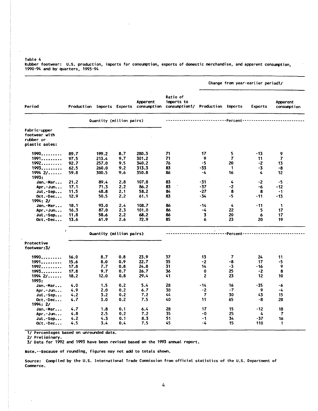Rubber footwear: U.S. production, imports for consumption, exports of domestic merchandise, and apparent consumption, 1990·94 and by quarters, 1993·94

|                                                              |          | Production Imports Exports consumption |          |                                         |                    | Change from year-earlier period1/ |                |                         |              |  |
|--------------------------------------------------------------|----------|----------------------------------------|----------|-----------------------------------------|--------------------|-----------------------------------|----------------|-------------------------|--------------|--|
| Period                                                       |          |                                        | Apparent | Ratio of<br>imports to<br>consumption1/ | Production Imports |                                   | Exports        | Apparent<br>consumption |              |  |
|                                                              |          | Quantity (million pairs)               |          |                                         |                    |                                   | -Percent--     |                         |              |  |
| Fabric-upper<br>footwear with<br>rubber or<br>plastic soles: |          |                                        |          |                                         |                    |                                   |                |                         |              |  |
| 1990                                                         | 89.7     | 199.2                                  | 8.7      | 280.3                                   | 71                 | 17                                | 5              | - 13                    | 9            |  |
| 1991                                                         | 97.5     | 213.4                                  | 9.7      | 301.2                                   | 71                 | 9                                 | 7              | 11                      | 7            |  |
|                                                              |          |                                        |          |                                         |                    |                                   |                |                         |              |  |
| 1992                                                         | 92.7     | 257.0                                  | 9.5      | 340.2                                   | 76                 | -5                                | 20             | $-2$                    | 13           |  |
| 1993                                                         | 62.5     | 260.0                                  | 9.2      | 313.3                                   | 83                 | -33                               | $\mathbf{1}$   | -3                      | -8           |  |
| 199421<br>1993:                                              | 59.8     | 300.5                                  | 9.6      | 350.8                                   | 86                 | $-4$                              | 16             | 4                       | 12           |  |
| Jan.-Mar                                                     | 21.2     | 89.4                                   | 2.8      | 107.8                                   | 83                 | -31                               | 4              | -2                      | -5           |  |
| Apr.-Jun                                                     | 17.1     | 71.3                                   | 2.2      | 86.2                                    | 83                 | $-37$                             | -2             | -6                      | -12          |  |
| Jul.-Sep                                                     | 11.5     | 48.8                                   | 2.1      | 58.2                                    | 84                 | $-27$                             | 8              | 8                       | -1           |  |
| Oct.-Dec                                                     | 12.9     | 50.5                                   | 2.2      | 61.1                                    | 83                 | - 34                              | -5             | $-11$                   | -13          |  |
| 1994:21                                                      |          |                                        |          |                                         |                    |                                   |                |                         |              |  |
| Jan.-Mar                                                     | 18.1     | 93.0                                   | 2.4      | 108.7                                   | 86                 | -14                               | 4              | -11                     | $\mathbf{1}$ |  |
| Apr.-Jun                                                     | 16.3     | 87.0                                   | 2.3      | 101.0                                   | 86                 | -4                                | 22             | 5                       | 17           |  |
| Jul.-Sep                                                     | 11.8     | 58.6                                   | 2.2      | 68.2                                    | 86                 | 3                                 | 20             | 6                       | 17           |  |
| Oct.-Dec                                                     | 13.6     | 61.9                                   | 2.6      | 72.9                                    | 85                 | 6                                 | 23             | 20                      | 19           |  |
|                                                              | $\prime$ | Quantity (million pairs)               |          |                                         |                    | $\omega_{\rm c} \sim 10^4$        | ------Percent· |                         |              |  |
| Protective                                                   |          |                                        |          |                                         |                    |                                   |                |                         |              |  |
| footwear:3/                                                  |          |                                        |          |                                         |                    |                                   |                |                         |              |  |
| 1990                                                         | 16.0     | 8.7                                    | 0.8      | 23.9                                    | 37                 | 13                                | 7              | 24                      | 11           |  |
| 1991                                                         | 15.6     | 8.0                                    | 0.9      | 22.7                                    | 35                 | $-2$                              | -8             | 17                      | -5           |  |
| 1992                                                         | 17.8     | 7.7                                    | 0.8      | 24.8                                    | 31                 | 14                                | -3             | -16                     | 9            |  |
|                                                              |          |                                        |          |                                         |                    | 0                                 |                |                         |              |  |
| 1993                                                         | 17.8     | 9.7                                    | 0.7      | 26.7                                    | 36                 |                                   | 25             | -2                      | 8            |  |
| 199421<br>1993:                                              | 18.2     | 12.0                                   | 0.8      | 29.4                                    | 41                 | $\mathbf{2}$                      | 23             | 12                      | 10<br>à.     |  |
| Jan.-Mar                                                     | 4.0      | 1.5                                    | 0.2      | 5.4                                     | 28                 | - 14                              | 16             | -35                     | -6           |  |
| Apr.-Jun                                                     | 4.9      | 2.0                                    | 0.2      | 6.7                                     | 30                 | $-2$                              | $-7$           | 9                       | -4           |  |
| Jul.-Sep                                                     | 4.2      | 3.2                                    | 0.2      | 7.2                                     | 44                 | $\overline{7}$                    | 30             | 43                      | 15           |  |
| Oct.-Dec                                                     | 4.7      | 3.0                                    | 0.2      | 7.5                                     | 40                 | 11                                | 65             | -8                      | 28           |  |
| 1994:21                                                      | 4.7      |                                        | 0.1      | 6.4                                     | 28                 | 17                                | 15             |                         |              |  |
| Jan.-Mar                                                     |          | 1.8                                    |          |                                         |                    |                                   |                | $-12$                   | 18           |  |
| Apr.-Jun                                                     | 4.8      | 2.5                                    | 0.2      | 7.2                                     | 35                 | -0                                | 25             | 4                       | 7            |  |
| Jul.-Sep                                                     | 4.2      | 4.3                                    | 0.1      | 8.3                                     | 51                 | $-1$                              | 34             | -37                     | 16           |  |
| Oct.-Dec                                                     | 4.5      | 3.4                                    | 0.4      | 7.5                                     | 45                 | -4                                | 15             | 110                     | -1           |  |

1/ Percentages based on unrounded data.

2/ Pret iminary.

3/ Data for 1992 and 1993 have been revised based on the 1993 annual report.

Note.--Because of rounding, figures may not add to totals shown.

Source: Compiled by the U.S. International Trade Commission from official statistics of the U.S. Department of Commerce.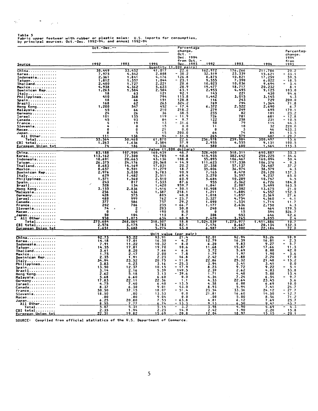versel upper footwear with rubber or plastic soles: U.S. imports for consumption,<br>by principal sources, Oct.-Dec. 1992-94, and annual 1992-94

 $Dct. -Dec. -$ Percentage change, Percentage change<br>1994 Det. -<br>Dec. 1994<br>from Oct.<br><u>Dec. 1993</u>  $\overline{a}$ from 1994 from Oct.<br>
91994 [1,010 pairs]<br>
91,017 22.6<br>
2.808 - 38.2<br>
4,176 126.8<br>
1,044 - 23.1<br>
2,221 28.6<br>
5,623 28.9<br>
2,564 63.1<br>
121 92.1<br>
151 115.8<br>
151 115.8 1992 1993 1992 1993 1994 1993 Source  $\begin{array}{r} 176,266 \\ 23.339 \\ 10,821 \\ 7,390 \end{array}$ 162,972  $\overline{\text{China}\dots\dots\dots\dots}$ 30,449  $33,452$ 211.786  $\overline{20.2}$  $7,975$ <br>2, 361<br>1, 812  $4,542$ <br> $1,841$ <br> $1,357$  $\frac{32,519}{8,875}$  $-33.1$ <br> $-59.5$ <br> $-18.5$ <br> $-3.4$  $15.621$ <br>17,259 Korea.............<br>Indonesia.........  $6.022$ <br>9.694<br>20.232 Taiwan............<br>Taiwan............ 1,044<br>
2,221<br>
5,623<br>
2,584<br>
2,584<br>
7,194<br>
5,263<br>
4,263<br>
4,263<br>
4,263<br>
4,263<br>
4,263<br>
4,263<br>
4,263<br>
4,263<br>
4,263<br>
4,40<br>
4,40<br>
4,40<br>
4,40<br>
4,40<br>
4,40<br>
4,40<br>
4,40<br>
4,40<br>
4,40<br>
4,40<br>
4,40<br>
4,40<br>
4,40<br>
4,40<br>
4,40<br>
4,40<br>
4,40<br>
4, 1,812<br>2,400<br>4,938<br>1,263<br>18<br>410  $7,333$ <br>10,023<br>19,477<br>2,953<br>143  $727$  $10,036$ <br> $18,717$ Mexico............<br>Dominican Rep.....  $4,362$ <br>1,584<br>63<br>568  $8.1$  $4,495$ <br> $221$ <br> $3,015$  $103.0$ <br>94.6<br>4.3  $\frac{7}{3}$ , 125<br>430 Italy..............<br>Philippines.......  $1,442$ <br>116<br>769<br>6,372 3,145<br>729<br>1,364<br>2,690<br>695<br>101  $4.3$ <br>  $200.0$ <br>  $71.8$ <br>  $6.7$ <br>  $12.8$ <br>  $12.8$ <br>  $-12.8$ <br>  $-4.3$ <br>  $220.0$ <br>  $433.3$  $115.8$ <br> $128.8$ <br> $324.2$ <br> $-17.4$ <br> $218.2$ <br> $38.5$  $-66$ <br>  $-62$ <br>  $-597$  $\frac{18}{168}$  $\frac{243}{794}$  $\mathbf{1}$ 200 2,522  $\frac{85}{24}$  $\frac{275}{235}$  $\frac{2}{82}$  $66$  $210$  $26$ <br>135<br>135<br>19<br>19<br>0 Germany...........<br>Israel............  $\frac{36}{119}$  $-38.5$ <br> $-11.9$ <br> $-9.7$ <br> $-31.6$  $101$ <br>  $681$ <br>  $231$ <br>  $114$ <br>  $32$ <br>  $46$ <br>  $84$  $781$   $258$   $79$   $10$  $726$ <br> $122$ <br>50  $101$ <br>45  $\frac{84}{15}$ Canada.............<br>France..............<br>Slovenia........... ۵  $\tilde{1}$   $\tilde{1}$   $\tilde{0}$ ż  $0.0$ Macao.............  $\mathbf 0$ 0  $21$  $0.0$  $\frac{3}{74}$ 433.3  $\begin{array}{r} 38 \\
84 \\
\hline\n300,497\n\end{array}$  $\frac{13.5}{29.7}$ <br>15.6<br>100.5 Japan.............<br>All Other....... 8  $\overline{15}$ 200.0  $64$  $\frac{94}{61,870}$ <br>3.584<br>336.5  $\frac{579}{259.984}$  $\frac{111}{53.364}$ <br>1,263  $\frac{138}{50,460}$  $\frac{31.9}{22.6}$ <br>57.9  $\frac{265}{256.978}$ Total..........<br>CBI total..........<br>European Union tot  $\frac{77}{9,131}$ <br>1,464  $2.955$  $4, 555$ <u>536 80.6</u><br><u>Value (1,000 dollars)</u><br>160,439 48.7 74 186 580 680 115  $\overline{\mathbf{3}}$ 328,400 518,311 China. . . . . . . . . . . . . . 83,188 107,904 690,887  $33.3$ 60, 439<br>45, 785<br>43, 1368<br>20, 568<br>17, 031<br>11, 279<br>5, 783<br>2, 510<br>4. 887<br>250,225<br>160,094<br>166,376<br>78,407<br>38,572<br>38,572<br>9,723<br>10,747<br>6,726<br>11.67<br>11.67<br>11.67  $-33.3$ <br>  $-34.6$ <br>  $-9.3$ <br>  $-37.2$ <br>  $4.3$ <br>  $137.3$ <br>  $65.0$ <br>  $6.5$ 107, 300<br>
20, 663<br>
24, 176<br>
24, 176<br>
14, 169<br>
3, 030<br>
1, 482<br>
1, 560<br>
1, 560<br>
1, 560 58.542<br>582.6427<br>106.467<br>57.137<br>56.974<br>8.478<br>5.597<br>5.597<br>10.289  $\begin{array}{r} 63,186 \\ 13,162 \\ 18,691 \\ 26,375 \\ 8,683 \\ 8,657 \\ 2,979 \end{array}$ 415,935<br>55,095<br>55,095<br>111,623<br>37,358<br>35,006  $-40.8$ <br>  $-108.8$ <br>  $-164.20$ <br>  $-20.4$ <br>  $-30.4$ <br>  $-40.8$ <br>  $-30.4$ <br>  $-30.4$ <br>  $-30.4$ <br>  $-30.4$ <br>  $-30.4$ <br>  $-30.4$ <br>  $-30.4$ <br>  $-30.4$ <br>  $-30.4$ <br>  $-30.4$ <br>  $-30.4$ <br>  $-30.4$ <br>  $-30.4$ <br>  $-30.4$ <br>  $-30.4$ <br>  $-30.4$ <br>  $-30.4$ <br>  $-30.4$ <br>  $-$ **Korea.............**<br>Korea.............<br>Indonesia......... Mexico............<br>Dominican Rep.....  $7,165$ <br>3,270 The Committee Committee Committee Committee Committee Committee Committee Committee Committee Committee Committee Committee Committee Committee Committee Committee Committee Committee Committee Committee Committee Committe  $\frac{629}{1.571}$  $5,684$ <br> $955$ <br> $1,841$ <br> $10,908$  $4.5$ <br>184.8<br>163.5<br>21.0<br>21.9<br>152.3 --------------------<br>Spain..............<br>Braziļ............  $\begin{array}{r} \n 743 \\
 \overline{)528} \\
 3,155\n \end{array}$  $1,533$ <br> $1,420$ <br> $1,416$  $2,362$ <br>  $2,087$ <br>  $11,302$  $\overline{817}$  $\mathcal{S}$ 134 2.836<br>436<br>575  $13,675$ <br>4,552<br>2,369 1,416<br>1,387<br>80527<br>757<br>757<br>2350<br>117<br>117 1,804<br>1,857<br>4,754<br>4,754<br>1,534<br>2,636<br>166  $\frac{256}{428}$  $\frac{1}{1}$ , 211<br>1, 018  $40.0$  $27.6$  $-23.7$ <br> $29.2$ <br> $-66.7$  $\frac{999}{998}$ <br>586<br>706<br>70<br>70  $480$ <br> $377$ <br> $202$  $3.327$ <br>1,090<br>1,177  $4,560$ <br> $1,714$ <br> $2,750$  $\ddot{\phantom{0}}$  $\frac{74.1}{11.7}$  $\begin{array}{r} 4.3 \\ 4.3 \\ 179.5 \\ 526.7 \\ 42.6 \end{array}$ France............<br>Slovenia..........  $\tilde{76}$  $50.0$ 240  $464$ <br>394  $\begin{array}{c}\n\text{Macao} \\
\downarrow \text{apian} \\
\text{Al}1 \text{ 0} \\
\text{then} \\
\end{array}$  $0.0$  $\mathbf{0}$ 15 104  $\begin{array}{r} \n \overline{)113} \\
 \overline{)634} \\
 \overline{)318,507}\n \end{array}$ 308 453<br>3,765<br><del>1,275,977</del> SΘ 8.7 646  $\frac{40.9}{18.8}$  $\frac{270,684}{270,684}$  $\begin{array}{r} 3,855 \\ \hline 1,411,886 \\ 20,134 \\ 22,184 \end{array}$  $\frac{1.073}{268.064}$ 2,420<br>4,039  $\frac{2.4}{10.7}$ Total..........<br>CBI total..........<br><u>European Union tot</u>  $1.024$  $2,976$ <br>1,651  $5.783$ <br> $5.274$  $82.1$  $7.176$  $\frac{8,667}{12,900}$  $132.3$ 5,688  $43.0$ 6,987 72  $\mathbf{0}$ (per pair)<br>
21.4<br>
- 4.2<br>
- 8.0<br>
10.6<br>
- 6.6<br>
- 7.8<br>
16.8  $$2.01$ <br>  $12.79$ <br>  $6.20$ <br>  $11.68$ <br>  $3.72$ <br>  $1.79$  $$3.22$ <br>17.01<br>11.22<br>17.81  $$2.94$ <br>16.39<br>9.83<br>15.87  $\frac{$3.26}{16.01}$ <br>9.27<br>17.66  $10.9$ <br> $-$  2.3<br> $-$  5.7  $China...$ .......... \$2.73 - 14743-23433-24332-24332-24332-24332-257432-257432-257432-257432-257432-257432-257432-257432-257432 **Korea.............**<br>Indonesia..........  $\begin{array}{r} -5.7 \\ +1.3 \\ -3.6 \\ -17.3 \\ -15.2 \\ -15.2 \\ -55.8 \\ -55.8 \\ -55.3 \\ -35.4 \\ -30.6 \\ \end{array}$ **Taiwan............**<br>Taiwan.............<br>Thailand...........  $\begin{array}{r} 1.668 \\ 8.088 \\ 1.902 \\ 2.203 \\ 4.484 \\ 9.223 \\ 4.038 \end{array}$  $8.20$ <br>  $2.17$ <br>  $1.91$ <br>  $23.52$ <br>  $4.23$  $5.69$ <br>1.97 Mexico............<br>Dominican Rep.....  $-7.8$ <br>  $-11.8$ <br>  $-25.3$ <br>  $-17.9$ <br>  $-149.5$ <br>  $-39.6$  $\begin{array}{r} 1.88 \\ 25.32 \\ 3.41 \\ 9.72 \end{array}$ 2.42  $2\overline{2}.86$ <br>3.94 Italy.............<br>Philippines.......  $12.37$ <br>2.16<br>5.18  $8.23$ <br> $2.59$ <br> $1.71$  $2.62$ <br>4.48<br>7.24 5.08  $rac{6.60}{22.36}$  $6.34$ <br> $6.33$  $7.24$ <br>22.64  $54$ <br>23.45  $5.60$  $0.0$  $22.11$ <br>7.40<br>6.30<br>37.15  $1.1$  $3.8$ <br>  $24.7$ <br>  $27.7$ <br>  $12.7$ <br>  $71.2$ <br>  $25.7$  $6.08$ <br>5.94<br>33.36  $\frac{1}{6}$ . 40<br>9.01  $-13.5$ <br> $43.0$  $6.58$ <br> $8.93$  $\frac{6.69}{7.41}$ Canada............<br>France.............<br>Slovenia...........  $9.07$ <br>  $18.07$ <br>  $9.04$ <br>  $7.53$ <br>  $6.74$ <br>  $5.14$ <br>  $2.23$ <br>  $15.49$  $-31.4$  $\begin{array}{c} 24.12 \\ 14.50 \\ 8.56 \\ 7.69 \end{array}$ 50.50<br>18.50 23.54<br>21.81  $\overline{00}$  $\overline{0}$ .0 16.60  $\overline{a}$  $5.00$ <br>6.12 - 00 Macao............. .on  $0.0$  $.00$  $20.80$ <br> $7.77$ <br>5.31<br>5.31<br>1.94  $4.81$ 25  $-63.8$  $.69$ All Other.......<br>All Other.......<br>Total.........<br>CBI total.........  $\frac{-13.3}{-3.2}$ <br>14.9  $\frac{9.13}{3.98}$ <br>2.42  $\frac{45.7}{4.3}$ <br>15.8  $\frac{8.55}{5.07}$  $\frac{6.50}{4.90}$  $\frac{9.47}{4.69}$  $1.90$  $2.35$  $2.20$ <u>European Union tot</u> 22 . 31 19.82 15.69  $20<sub>8</sub>$  $12.04$ 18  $97$ ់ ខែ 20

SOURCE: Compiled from official statistics of the U.S. Department of Commerce.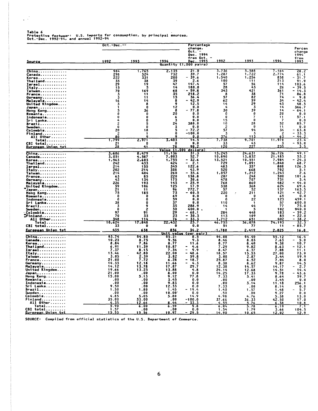$\mathbb{R}^2$ 

•wore<br>Protective footwear: U.S. imports for consumption, by principal <mark>s</mark>ources,<br>Oct.-Dec. 1992–94, and annual 1992–94

|                       |      |       |       |                                                               |       |          |       | Percen<br>change     |
|-----------------------|------|-------|-------|---------------------------------------------------------------|-------|----------|-------|----------------------|
| <u>Source</u>         | 1992 | 1993  | 1994  | Dec. 1994<br>from Oct.<br>Dec. 1993<br>Quantity (1,000 pairs) | 1992  | 1993     | 1994  | 1994<br>from<br>1993 |
| $China \ldots \ldots$ | 984  | 1,765 | 2,135 | 21.0                                                          | 3,736 | 5,588    | 7.164 | 28.2                 |
| Canada                | 298  | 524   | 732   | 39.7                                                          | 1,287 | 1,722    | 2,774 | 61.1                 |
| Korea                 | 222  | 331   | 200   | - 39.6                                                        | 1,540 | 1,256    | 858   | 31.7                 |
| Thailand              | 35   | 38    | 39    | 2.6                                                           | 100   | 111      | 213   | 91.9                 |
| Israel                | 29   | 19    | 47    | 147.4                                                         | 57    | 56       | 114   | 103.6                |
| Itally                | 15   |       | 14    | 180.0                                                         | 28    | 43       | 26    | 39.5                 |
| Taiwan                | 70   | 169   | 68    | $-59.8$                                                       | 343   | 421      | 361   | 14.3<br>-            |
| France                |      |       | 35    | 218.2                                                         |       | 38       |       | 86.8                 |
| Germany               |      |       |       | 36.4                                                          | 57    | 82<br>59 | 74    | 9.8                  |
| Malaysia              |      |       |       | 42.9                                                          | 62    |          | 34    | $-42.4$              |
| United Kingdom        |      |       |       | 12.5                                                          | 14    | 29       | 43    | 48.3                 |
| Japan                 |      |       |       | 0.0                                                           |       |          | 14    | 366.7                |
| Hong Kong             |      | 56    |       | 77.8<br>$\bullet$                                             | 30    | 39       | 14    | $-64.1$              |
| Romania               |      |       | 20    | 0.0                                                           |       |          | 20    | 0.0                  |
| Indonesia             |      |       |       | 0.0                                                           |       |          |       | 57.1                 |
| Sri Lanka             |      |       |       | 0.0                                                           |       |          |       | 0.0                  |
| Brazil                |      |       | 24    | 380.0                                                         | 10    | 28       | 52    | 85.7<br>. .          |

Oct.-Dec.-- Percentage

Sweden •...•....... 0 0 3 0.0 2 0 11 0.0 Colombia •••••••... 20 18 *5* - 72.2 *57* 94 34 - 63.8 Finland .••.•.•.... 2 1 0 -100.0 3 3 2 - 33.3 All Other •...... 1!0 2 2 !!.!! f 6 11~ !i~ - 44 z Total. ••••.... 1. 799 2,911 3,403 14.5 7. 38 9,701 11,970 23.4 CBI total .•.••.... 21 0 0 0.0 33 43 3 - 93.0

na ••••••••••... 3,686 8, 9 11. 1 6 31.3 1 ,245 24,631 36' 26 49 .1 Canada •••••••••••. 3,051 4,587 7,003 52.7 10,890 13,832 21.185 53.2 Korea ••••.•••..•. · 1,963 2,603 1,755 - 32.6 13,521 10,551 7,984 - 24.3 Thailand ••••••••.. 242 433 424 2.1 729 1, 091 1,840 68.7 Iarael •••••••••••• 214 155 345 122.6 483 357 808 126.3 Italy •••••••••••.. 202 214 308 43.9 520 668 702 5.1 Taiwan ••••••••.•.. 214 404 260 - 35.6 1,057 1,212 1,243 2.6 France •••••••••••. 63 85 220 158.8 207 248 500 101 .6 Germany· •••••.••.. 43 134 175 30.6 478 707 731 3.4

Malays **a ..........** 226 193 143 - 25.9 768 860 482 - 44.0 United Kingdom ••.. 59 106 125 17 .9 338 368 624 69.6

•Japan •••••.••••.•. 21 11 96 772.7 *57* 52 137 163.5 Hong Kong ••••..... *75* 185 73 - 60.5 220 211 121 - 42.7 Romania .••••••••.• 0 0 69 o.o 0 0 69 0.0 Indonesia .•••••... 0 0 59 0.0 0 22 123 459.1 Sri Lanka .••••••.• 38 0 37 0.0 110 1 *57* 600.0 Brazil ••••••••••.• 3 9 35 2118.9 14 44 77 75.0 Sweden ••••••••••.. 0 2 30 400.0 . 1 *5* 102 940.0 •Colombia •••••••••• 97 91 29 - 68 .1 284 448 183 - 59.2

:Finland ••••••••••. 70 33 23 - 30.3 113 109 85 - 22.0 All Other ••••••• i411 JU ~!i - ,l~. ~ l 1ZlZ rn !iOZ - 3!l.Z Total ••••••••• 16, 24 17 ,848 22,4 2 25.7 46 '7 55 56,078 74,193 32.3 CllI total ••••••••• 33 0 0 0.0 51 77 11 - 85. 7

Do11<sup>11</sup> ~~I111 ~!i·~ -·~i7H ~1!il2 ~,11z~ Hi .I! ~e:r :1icl China ••••••••••••. \$3.74 \$4.80 5.21 8.5 4.08 4.40 5.12 16.4 Canada •••••••••••• 10.23 8.75 9.56 9.3 8.46 8.03 7.63 5.0 Korea ••••••••••••• 8.84 7.86 8.77 11.6 8.77 8.40 9.30 10. 7 Thailand •••••••••. 6.91 11 .39 10.87 4.6 7.29 9.82 8.63 - 12.1 Israel ••••••••..•• 7.37 8.15 7.34 9.9 8.47 6 .37 7 .08 11.1 Italy ••••••••••••. 13.46 42.80 22.00 - 48.6 18.57 15.53 27.00 73.9 Taiwan ••••••••••.• 3.05 2.39 3.82 59.8 3.08 2.87 3.44 19.9 France •••••••••••. 21 .00 7 .72 6.28 - 18.7 25.87 6.52 7.04 8.0 Germany •••.•••••.. 14.33 12.18 11 .66 4.3 8.38 8.62 9.87 14.5 Malaysia •.•.•••••. 14.12 13. 78 17 .87 29.7 12.38 14.57 14.17 2.7

United Kingdom .... 19.66 13.25 13.88 4.8 24.14 12.68 14.51 14.4

Japan ••••.••••••.. 21 .00 .00 8.00 0.0 14.25 17.33 9.78 - 43 .6 Hong ltong. • ••...•. 15 .oo 5.13 9 .12 77 .8 7.33 5.41 8.64 59.7 **Ro•ania ...........** .00 .00 3.45 0.0 .00 .OD 3.45 0. 0 Indonesia .••••...• .00 .00 9.83 0.0 .00 3.14 11 .18 256 .1 sr; Lanka .•••..•.. 9.50 .00 12.33 0.0 7.33 .00 8 .14 0.0 Brazi 1 ............ 1 .50 1 .80 1 .45 - 19.4 1 .40 1. 57 1 .48 5.7 Swoden .•...•...... .00 .00 1 o. oo· 0.0 .50 .00 9.27 0.0 Colombia ...•...... 4.85 5,05 5.80 14.9 4.98 4.76 5.38 13.0 Finland .••.•..••.. 35.00 33.00 .00 -100.0 37.66 36 .33 42.50 17. 0 All Othor .•••... 4,~:i lZ 66 l!,44 - ~~ ~ 4 :!:! :!,H !i .~8 1!! 8 Total .•.••..•. 5.90 6.00 6 .59 9.8 6.04 5.78 6 .19 1 .1 CBI total •...•.•.. 1 .57 .00 .00 0.0 1 .54 1. 79 3.66 104.5 ~l.!C21?511D **!Joi2a** j;oi J ~. :!~ l ~ .~!i J 11, 2Z - Z2.~ l!i.2!! 1 !! .!i~ l z' oz IZ,2

SOURCE: Compiled from official statistics of the U.S. Department of Commerce.

| official statistics of th |  |
|---------------------------|--|
|                           |  |
|                           |  |
|                           |  |

**f:wcaea•D** llDh!D id !i~~ fiU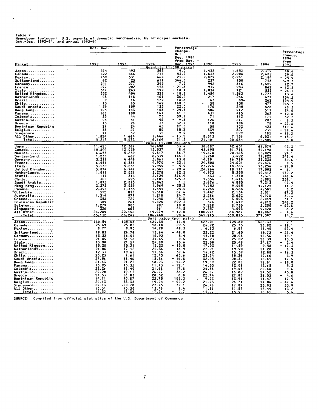| Table 7 |  |  | Oct.-Dec. 1992-94, and annual 1992-94 |  | Nonrubber footwear: U.S. exports of domestic merchandise, by principal markets, |  |  |  |
|---------|--|--|---------------------------------------|--|---------------------------------------------------------------------------------|--|--|--|
|---------|--|--|---------------------------------------|--|---------------------------------------------------------------------------------|--|--|--|

 $\sim 10^{-1}$ 

 $\frac{1}{2}$ 

 $\mathcal{L}(\mathcal{L}^{\text{max}}_{\mathcal{L}})$  ,  $\mathcal{L}^{\text{max}}_{\mathcal{L}}$ 

|                                      | $0$ ct.-Dec.--   |                  |                             | Percentage<br>change,            |                      |                  |                  | Percentage                       |
|--------------------------------------|------------------|------------------|-----------------------------|----------------------------------|----------------------|------------------|------------------|----------------------------------|
|                                      |                  |                  |                             | $0$ ct. $\cdot$<br>Dec. 1994     |                      |                  |                  | change,                          |
|                                      |                  |                  |                             | from Oct. -                      |                      |                  |                  | 1994<br>from                     |
| Market                               | 1992             | 1993             | 1994                        | Dec. 1993                        | 1992                 | 1993             | 1994             | 1993                             |
| Japan                                | 374              | 493              | Quantity (1,<br>562         | <u>000 pairs)</u><br>14.0        | 1,432                | 1,652            | 2,319            | 40.4                             |
| Canada                               | 422              | 466              | 717                         | 53.9                             | 1,833                | 2,008            | 2,602            | 29.6                             |
| Mexico                               | 759              | 531<br>25        | 664                         | 25.0                             | 2.879                | 2,961            | 2,194            | 25.9<br>$\overline{\phantom{a}}$ |
| Switzerland<br>Germany               | 62<br>241        | 277              | 611<br>299                  | 344.0<br>7.9                     | 237<br>942           | 158<br>816       | 758<br>1,409     | 379.7                            |
| France                               | 277              | 202              | 158                         | 21.8                             | 934                  | 983              | 862              | 72.7<br>- 12.3                   |
| Italy                                | 367              | 243              | 199                         | 18.1                             | 1,034                | 721              | 533              | 26.1                             |
| United Kingdom                       | 332<br>48        | 404<br>118       | 328                         | 18.8<br>36.4                     | 1,454                | 1,562            | 1,775            | 13.6                             |
| $N$ etherlands<br>Brazil             | 9                | 16               | 161<br>179                  | 18.8                             | 217<br>43            | 266<br>89+       | 677<br>262       | 154.5<br>194.4                   |
| Chile                                | 13               | 65               | 169                         | 160.0                            | 58                   | 138              | 477              | 245.7                            |
| Saudi Arabia                         | 39               | 109              | 133                         | 22.0                             | 176                  | 240              | 428              | 78.3                             |
| Hong Kong                            | 105              | 143<br>100       | 108<br>141                  | 24.5<br>41.0                     | 406                  | 412              | 511              | 24.0                             |
| Panama<br>Colombia                   | 168<br>23        | 44               | 70                          | 59.1                             | 431<br>71            | 415<br>112       | 362<br>171       | 12.8<br>52.7                     |
| Australia                            | 45               | 51               | 46                          | 9.8                              | 126                  | 217              | 203              | 6.5                              |
| Greece                               | 13               | 28               | 37                          | 32.1                             | 118                  | 108              | 78               | 27.8<br>$\overline{\phantom{0}}$ |
| Dominican Republic                   | 21               | 24               | 45<br>50                    | 87.5                             | 58                   | 102              | 428              | 319.6                            |
| Belgium<br>Singapore                 | 53<br>11         | 27<br>32         | 35                          | 85.2<br>9.4                      | 339<br>89            | 327<br>229       | 231<br>185       | 29.4<br>-<br>19.2                |
| All Other                            | 1,824            | 1,664            | 1,444                       | 13.2                             | 8,513                | 7,156            | 6,031            | 15.7                             |
| <u>Total</u>                         | <u>5,215</u>     | <u>5,073</u>     | <u>6,164</u>                | <u>21.5</u>                      | 21,401               | 20,684           | 22,504           | 8.8                              |
|                                      | 11,425           | 12,367           | <u> Value (1,</u><br>16,498 | dollars)<br>000<br>33.4          | 38,687               | 42,631           |                  |                                  |
| Japan<br>Canada                      | 10,844           | 12,025           | 13,037                      | 8.4                              | 45,695               | 51,718           | 61,079<br>54,198 | 43.3<br>4.8                      |
| <b>Mexico</b>                        | 6,657            | 5,259            | 9,817                       | 86.7                             | 19,678               | 20,165           | 25,029           | 24.1                             |
| Switzerland                          | 1,230            | 669              | 8,339                       | 146.5                            | 5,268                | 3,422            | 11,922           | 248.4                            |
| Germany<br>France                    | 3,211<br>6,051   | 4,449<br>6,381   | 5,061<br>4,970              | 13.8<br>22.1                     | 14,791<br>24,508     | 16,719<br>24,601 | 23,338<br>24,476 | 39.6<br>0.5                      |
| Italy                                | 5,132            | 5,236            | 4,954                       | 5.4                              | 23,274               | 18,383           | 13,256           | $\overline{\phantom{0}}$<br>27.9 |
| United Kingdom                       | 5,074            | 6,147            | 4,341                       | 29.4<br>-                        | 24,764               | 18,111           | 17,005           | 6.1                              |
| <b>Netherlands</b>                   | 1,011            | 2,021            | 3,278                       | 62.2                             | 4,972                | 5,295            | 14,412           | 172.2                            |
| Brazil<br>Chile                      | 111<br>302       | 314<br>495       | 2,124<br>2,105              | 576.4<br>325.3                   | 633<br>سمير<br>1,354 | 1,370<br>1,416   | 3,375<br>5,085   | 146.4<br>259.1                   |
| Saudi Arabia                         | 1,075            | 2,013            | 2,043                       | 1.5                              | 5,676                | 4,895            | 7,213            | 47.4                             |
| Hong Kong                            | 2,272            | 3,039            | 1,969                       | 35.2                             | 7,752                | 9,065            | 10,125           | 11.7                             |
| Panama                               | 2,345            | 1,335            | 1,655                       | 24.0                             | 6,264                | 4,988            | 4,581            | 8.2                              |
| <b>Colombia</b><br>Australia         | 512<br>1,314     | 810<br>977       | 1,518<br>1,218              | 87.4<br>24.7                     | 1,447<br>3,286       | 2,134<br>3,652   | 3,571<br>4,978   | 67.3<br>36.3                     |
| $G$ reece                            | 358              | 729              | 1,048                       | 43.8                             | 2,684                | 3,003            | 2,069            | $-31.1$                          |
| Dominican Republic                   | 309              | 261              | 1,024                       | 292.3                            | 576                  | 1,419            | 4,912            | 246.2                            |
| Belgium                              | 1,279            | 900              | 997                         | 10.8                             | 7,268                | 8,735            | 3,250            | 62.8                             |
| Singapore<br><b>All Other</b>        | 326<br>24,284    | 665<br>22,146    | 961<br>19,479               | 44.5<br>- 12.0                   | 2,357<br>100,971     | 4,093<br>84,987  | 4,428<br>81,087  | 8.2<br>4.6                       |
| <u>:Total</u>                        | 85,132           | 88,249           | 106,448                     | 20.6                             | <u>341,915</u>       | 330,813          | 379,397          | 14.7                             |
|                                      |                  |                  |                             | Unit value (per pair)            |                      |                  |                  |                                  |
| Japan<br>Canada                      | \$30.54<br>25.69 | \$25.08<br>25.80 | \$29.35<br>18.18            | 17.0<br>$-29.5$                  | \$27.01<br>24.92     | \$25.80<br>25.75 | \$26.33<br>20.82 | 2.1<br>19.1<br>-                 |
| Mexico                               | 8.77             | 9.90             | 14.78                       | 49.3                             | 6.83                 | 6.81             | 11.40            | 67.4                             |
| Switzerland                          | 19.83            | 26.76            | 13.64                       | $-49.0$                          | 22.22                | 21.65            | 15.72            | 27.4<br>$\overline{\phantom{0}}$ |
| Germany                              | 13.32            | 16.06            | 16.92                       | 5.4                              | 15.70                | 20.48            | 16.56            | $\overline{\phantom{0}}$<br>19.1 |
| France                               | 21.84            | 31.58            | 31.45                       | 0.4                              | 26.23                | 25.02            | 28.39            | 13.5                             |
| Italy<br>United Kingdom              | 13.98<br>15.28   | 21.54<br>15.21   | 24.89<br>13.23              | 15.6<br>13.0<br>$\sim$           | 22.50<br>17.03       | 25.49<br>11.59   | 24.87<br>9.58    | 2.4<br>17.3<br>۰                 |
| Netherlands                          | 21.06            | 17.12            | 20.36                       | 18.9                             | 22.91                | 19.90            | 21.28            | 6.9                              |
| <b>Brazil</b>                        | 12.33            | 19.62            | 11.86                       | 39.6<br>$\overline{\phantom{0}}$ | 14.72                | 15.39            | 12.88            | 16.3                             |
| Chile                                | 23.23            | 7.61             | 12.45                       | 63.6                             | 23.34                | 10.26            | 10.66            | 3.9                              |
| Saudi Arabia<br>Hong Kong            | 27.56<br>21.63   | 18.46<br>21.25   | 15.36<br>18.23              | $-16.8$<br>$-14.2$               | 32.25<br>19.09       | 20.39<br>22.00   | 16.85<br>19.81   | 17.4<br>10.0                     |
| Panama                               | 13.95            | 13.35            | 11.73                       | $-12.1$                          | 14.53                | 12.01            | 12.65            | 5.3                              |
| Colombia                             | 22.26            | 18.40            | 21.68                       | 17.8                             | 20.38                | 19.05            | 20.88            | 9.6                              |
| Australia                            | 29.20            | 19.15            | 26.47                       | 38.2                             | 26.07                | 16.82            | 24.52            | 45.8                             |
| $G$ reece                            | 27.53<br>14.71   | 26.03<br>10.87   | 28.32<br>22.75              | 8.8<br>109.3                     | 22.74<br>9.93        | 27.80<br>13.91   | 26.52            | 4.6                              |
| Dominican Republic<br><b>Belgium</b> | 24.13            | 33.33            | 19.94                       | $-40.2$                          | 21.43                | 26.71            | 11.47<br>14.06   | 17.5<br>47.4                     |
| Singapore                            | 29.63            | .20.78           | 27.45                       | 32.1                             | 26.48                | 17.87            | 23.93            | 33.9                             |
| All Other                            | 13.31            | 13.30            | 13.48                       | 1.4                              | 11.86                | 11.87            | 13.44            | 13.2                             |
| Total 1.1.1                          | 16 32            | 1739             | 17 26                       | 0 <sub>7</sub>                   | 1597                 | 15.99            | <b>16 RS</b>     | 5. Ο                             |

 $\mathcal{L}^{\mathcal{L}}$ 

 $\sim$ 

SOURCE: Compiled from official statistics of the U.S. Department of Commerce.

 $\sim$ 

 $\hat{\boldsymbol{\theta}}$ 

 $\sim 10^{11}$ 

 $\sim 10^7$